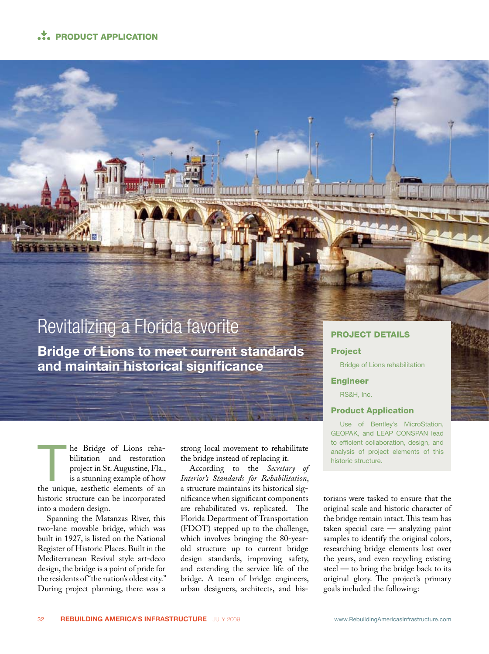# ... PRODUCT APPLICATION



he Bridge of Lions rehabilitation and restoration project in St. Augustine, Fla., is a stunning example of how the unique, aesthetic elements of an historic structure can be incorporated into a modern design.

Spanning the Matanzas River, this two-lane movable bridge, which was built in 1927, is listed on the National Register of Historic Places. Built in the Mediterranean Revival style art-deco design, the bridge is a point of pride for the residents of "the nation's oldest city." During project planning, there was a

strong local movement to rehabilitate the bridge instead of replacing it.

According to the *Secretary of Interior's Standards for Rehabilitation*, a structure maintains its historical significance when significant components are rehabilitated vs. replicated. The Florida Department of Transportation (FDOT) stepped up to the challenge, which involves bringing the 80-yearold structure up to current bridge design standards, improving safety, and extending the service life of the bridge. A team of bridge engineers, urban designers, architects, and his-

## PROJECT DETAILS

## Project

The person of the

Bridge of Lions rehabilitation

### Engineer

RS&H, Inc.

## Product Application

Use of Bentley's MicroStation, GEOPAK, and LEAP CONSPAN lead to efficient collaboration, design, and analysis of project elements of this historic structure.

torians were tasked to ensure that the original scale and historic character of the bridge remain intact. This team has taken special care — analyzing paint samples to identify the original colors, researching bridge elements lost over the years, and even recycling existing steel — to bring the bridge back to its original glory. The project's primary goals included the following: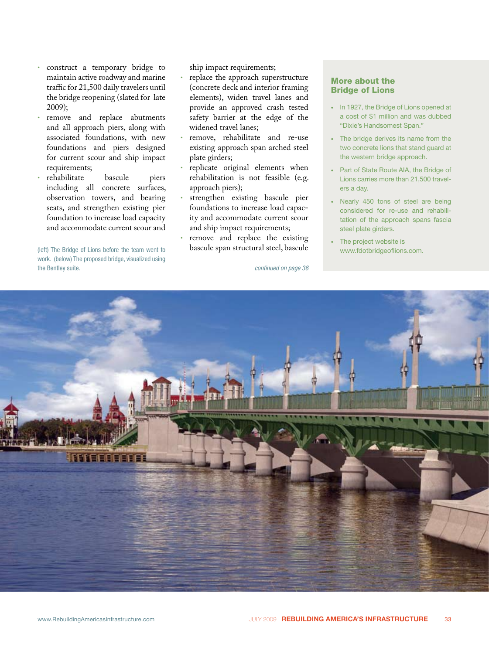- construct a temporary bridge to maintain active roadway and marine traffic for 21,500 daily travelers until the bridge reopening (slated for late 2009);
- remove and replace abutments and all approach piers, along with associated foundations, with new foundations and piers designed for current scour and ship impact requirements;<br>rehabilitate
- rehabilitate bascule piers including all concrete surfaces, observation towers, and bearing seats, and strengthen existing pier foundation to increase load capacity and accommodate current scour and

(left) The Bridge of Lions before the team went to **bascule span structural steel, bascule** www.fdotbridgeoflions.com. work. (below) The proposed bridge, visualized using the Bentley suite.

ship impact requirements;

- replace the approach superstructure (concrete deck and interior framing elements), widen travel lanes and provide an approved crash tested safety barrier at the edge of the widened travel lanes;
- remove, rehabilitate and re-use existing approach span arched steel plate girders;
- replicate original elements when rehabilitation is not feasible (e.g. approach piers);
- strengthen existing bascule pier foundations to increase load capacity and accommodate current scour and ship impact requirements;
- remove and replace the existing bascule span structural steel, bascule

*continued on page 36*

## More about the Bridge of Lions

- In 1927, the Bridge of Lions opened at a cost of \$1 million and was dubbed "Dixie's Handsomest Span."
- The bridge derives its name from the two concrete lions that stand guard at the western bridge approach.
- Part of State Route AIA, the Bridge of Lions carries more than 21,500 travelers a day.
- Nearly 450 tons of steel are being considered for re-use and rehabilitation of the approach spans fascia steel plate girders.
- The project website is

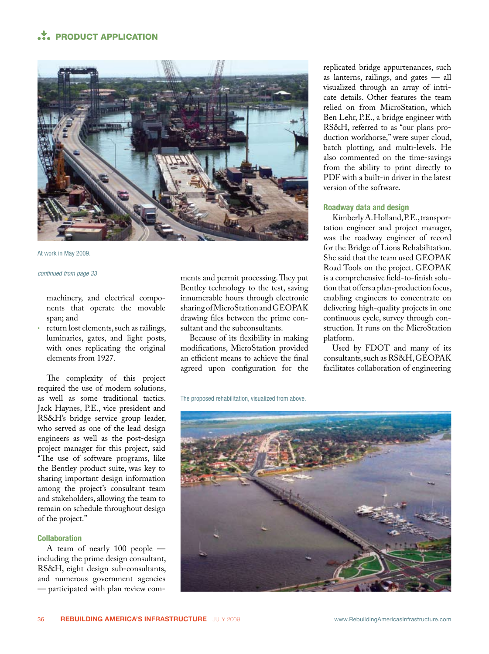# **• PRODUCT APPLICATION**

![](_page_2_Picture_1.jpeg)

At work in May 2009.

#### *continued from page 33*

machinery, and electrical components that operate the movable span; and

• return lost elements, such as railings, luminaries, gates, and light posts, with ones replicating the original elements from 1927.

The complexity of this project required the use of modern solutions, as well as some traditional tactics. Jack Haynes, P.E., vice president and RS&H's bridge service group leader, who served as one of the lead design engineers as well as the post-design project manager for this project, said "The use of software programs, like the Bentley product suite, was key to sharing important design information among the project's consultant team and stakeholders, allowing the team to remain on schedule throughout design of the project."

#### **Collaboration**

A team of nearly 100 people including the prime design consultant, RS&H, eight design sub-consultants, and numerous government agencies — participated with plan review com-

ments and permit processing. They put Bentley technology to the test, saving innumerable hours through electronic sharing of MicroStation and GEOPAK drawing files between the prime consultant and the subconsultants.

Because of its flexibility in making modifications, MicroStation provided an efficient means to achieve the final agreed upon configuration for the replicated bridge appurtenances, such as lanterns, railings, and gates — all visualized through an array of intricate details. Other features the team relied on from MicroStation, which Ben Lehr, P.E., a bridge engineer with RS&H, referred to as "our plans production workhorse," were super cloud, batch plotting, and multi-levels. He also commented on the time-savings from the ability to print directly to PDF with a built-in driver in the latest version of the software.

## **Roadway data and design**

Kimberly A. Holland, P.E., transportation engineer and project manager, was the roadway engineer of record for the Bridge of Lions Rehabilitation. She said that the team used GEOPAK Road Tools on the project. GEOPAK is a comprehensive field-to-finish solution that offers a plan-production focus, enabling engineers to concentrate on delivering high-quality projects in one continuous cycle, survey through construction. It runs on the MicroStation platform.

Used by FDOT and many of its consultants, such as RS&H, GEOPAK facilitates collaboration of engineering

![](_page_2_Picture_16.jpeg)

The proposed rehabilitation, visualized from above.